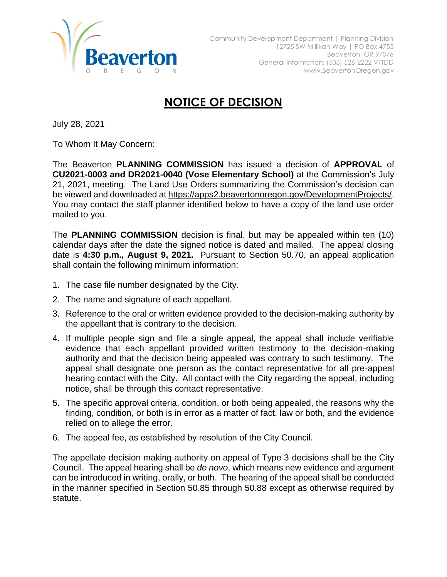

## **NOTICE OF DECISION**

July 28, 2021

To Whom It May Concern:

The Beaverton **PLANNING COMMISSION** has issued a decision of **APPROVAL** of **CU2021-0003 and DR2021-0040 (Vose Elementary School)** at the Commission's July 21, 2021, meeting. The Land Use Orders summarizing the Commission's decision can be viewed and downloaded at [https://apps2.beavertonoregon.gov/DevelopmentProjects/.](https://apps2.beavertonoregon.gov/DevelopmentProjects/) You may contact the staff planner identified below to have a copy of the land use order mailed to you.

The **PLANNING COMMISSION** decision is final, but may be appealed within ten (10) calendar days after the date the signed notice is dated and mailed. The appeal closing date is **4:30 p.m., August 9, 2021.** Pursuant to Section 50.70, an appeal application shall contain the following minimum information:

- 1. The case file number designated by the City.
- 2. The name and signature of each appellant.
- 3. Reference to the oral or written evidence provided to the decision-making authority by the appellant that is contrary to the decision.
- 4. If multiple people sign and file a single appeal, the appeal shall include verifiable evidence that each appellant provided written testimony to the decision-making authority and that the decision being appealed was contrary to such testimony. The appeal shall designate one person as the contact representative for all pre-appeal hearing contact with the City. All contact with the City regarding the appeal, including notice, shall be through this contact representative.
- 5. The specific approval criteria, condition, or both being appealed, the reasons why the finding, condition, or both is in error as a matter of fact, law or both, and the evidence relied on to allege the error.
- 6. The appeal fee, as established by resolution of the City Council.

The appellate decision making authority on appeal of Type 3 decisions shall be the City Council. The appeal hearing shall be *de novo*, which means new evidence and argument can be introduced in writing, orally, or both. The hearing of the appeal shall be conducted in the manner specified in Section 50.85 through 50.88 except as otherwise required by statute.